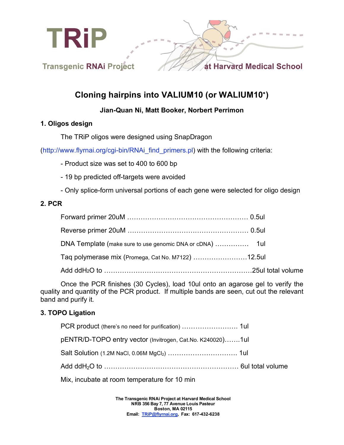

# **Cloning hairpins into VALIUM10 (or WALIUM10**! **)**

# **Jian-Quan Ni, Matt Booker, Norbert Perrimon**

#### **1. Oligos design**

The TRiP oligos were designed using SnapDragon

(http://www.flyrnai.org/cgi-bin/RNAi\_find\_primers.pl) with the following criteria:

- Product size was set to 400 to 600 bp
- 19 bp predicted off-targets were avoided
- Only splice-form universal portions of each gene were selected for oligo design

#### **2. PCR**

| Taq polymerase mix (Promega, Cat No. M7122) 12.5ul |  |
|----------------------------------------------------|--|
|                                                    |  |

Once the PCR finishes (30 Cycles), load 10ul onto an agarose gel to verify the quality and quantity of the PCR product. If multiple bands are seen, cut out the relevant band and purify it.

# **3. TOPO Ligation**

| pENTR/D-TOPO entry vector (Invitrogen, Cat.No. K240020)1ul       |  |
|------------------------------------------------------------------|--|
| Salt Solution (1.2M NaCl, 0.06M MgCl <sub>2</sub> )  1ul         |  |
| Add ddH <sub>2</sub> O to ……………………………………………………… 6ul total volume |  |
|                                                                  |  |

Mix, incubate at room temperature for 10 min

**The Transgenic RNAi Project at Harvard Medical School NRB 356 Bay 7, 77 Avenue Louis Pasteur Boston, MA 02115 Email: TRiP@flyrnai.org, Fax: 617-432-6238**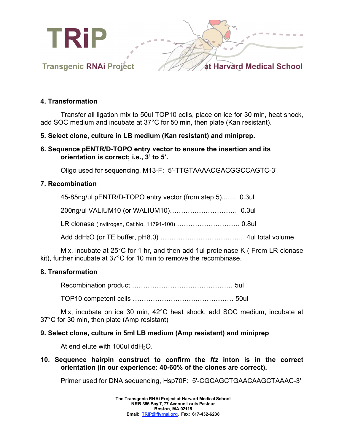

#### **4. Transformation**

Transfer all ligation mix to 50ul TOP10 cells, place on ice for 30 min, heat shock, add SOC medium and incubate at 37°C for 50 min, then plate (Kan resistant).

# **5. Select clone, culture in LB medium (Kan resistant) and miniprep.**

**6. Sequence pENTR/D-TOPO entry vector to ensure the insertion and its orientation is correct; i.e., 3' to 5'.**

Oligo used for sequencing, M13-F: 5'-TTGTAAAACGACGGCCAGTC-3'

#### **7. Recombination**

| 45-85ng/ul pENTR/D-TOPO entry vector (from step 5) 0.3ul |  |
|----------------------------------------------------------|--|
|                                                          |  |
|                                                          |  |
|                                                          |  |

Mix, incubate at 25°C for 1 hr, and then add 1ul proteinase K ( From LR clonase kit), further incubate at 37°C for 10 min to remove the recombinase.

# **8. Transformation**

Recombination product ……………………………………… 5ul

TOP10 competent cells ……………………………………… 50ul

Mix, incubate on ice 30 min, 42°C heat shock, add SOC medium, incubate at 37°C for 30 min, then plate (Amp resistant)

#### **9. Select clone, culture in 5ml LB medium (Amp resistant) and miniprep**

At end elute with 100ul dd $H_2O$ .

**10. Sequence hairpin construct to confirm the** *ftz* **inton is in the correct orientation (in our experience: 40-60% of the clones are correct).**

Primer used for DNA sequencing, Hsp70F: 5'-CGCAGCTGAACAAGCTAAAC-3'

**The Transgenic RNAi Project at Harvard Medical School NRB 356 Bay 7, 77 Avenue Louis Pasteur Boston, MA 02115 Email: TRiP@flyrnai.org, Fax: 617-432-6238**